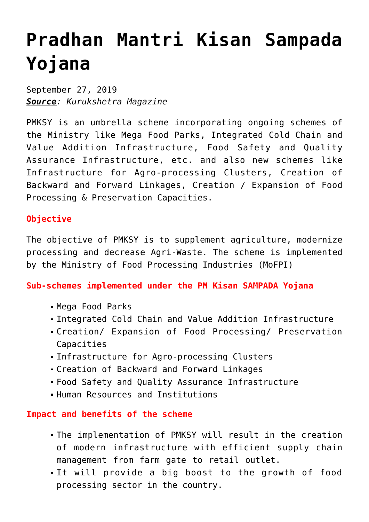## **[Pradhan Mantri Kisan Sampada](https://journalsofindia.com/pradhan-mantri-kisan-sampada-yojana/) [Yojana](https://journalsofindia.com/pradhan-mantri-kisan-sampada-yojana/)**

September 27, 2019 *Source: Kurukshetra Magazine*

PMKSY is an umbrella scheme incorporating ongoing schemes of the Ministry like Mega Food Parks, Integrated Cold Chain and Value Addition Infrastructure, Food Safety and Quality Assurance Infrastructure, etc. and also new schemes like Infrastructure for Agro-processing Clusters, Creation of Backward and Forward Linkages, Creation / Expansion of Food Processing & Preservation Capacities.

## **Objective**

The objective of PMKSY is to supplement agriculture, modernize processing and decrease Agri-Waste. The scheme is implemented by the Ministry of Food Processing Industries (MoFPI)

**Sub-schemes implemented under the PM Kisan SAMPADA Yojana** 

- Mega Food Parks
- Integrated Cold Chain and Value Addition Infrastructure
- Creation/ Expansion of Food Processing/ Preservation Capacities
- Infrastructure for Agro-processing Clusters
- Creation of Backward and Forward Linkages
- Food Safety and Quality Assurance Infrastructure
- Human Resources and Institutions

## **Impact and benefits of the scheme**

- The implementation of PMKSY will result in the creation of modern infrastructure with efficient supply chain management from farm gate to retail outlet.
- It will provide a big boost to the growth of food processing sector in the country.